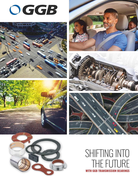













# SHIFTING INTO THE FUTURE **WITH GGB TRANSMISSION BEARINGS**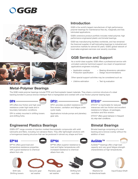# OGGB





## **Introduction**

GGB is the world's largest manufacturer of high performance polymer bearings for maintenance-free dry, marginally and fully lubricated applications.

GGB's extensive product portfolio includes metal-polymer, high performance engineered plastic and bimetal bearings.

GGB has manufacturing facilities worldwide, and has remained the foremost supplier of self-lubricating bearings to industrial and automotive markets for almost 50 years. GGB's global network of local sales engineers services over seventy countries.

## **GGB Service and Support**

As a world-class supplier, GGB offers a professional service with unrivaled customer technical support via a team of experienced applications engineers including:

- Application analysis
- Bearing dimensions calculation

• Production specification

• Design recommendations

Other special support activities may be considered such as:

- Lifetime estimation
- Test rig evaluation

### **Metal-Polymer Bearings**

The GGB metal-polymer bearings include PTFE and thermoplastic based materials. They share a common structure of a steel backing bonded to porous bronze interlayer that is impregnated and overlaid with a low-friction polymer bearing layer.

#### **[DP4](https://www.ggbearings.com/en/products/metal-polymer/dp4)**

DP4 offers low friction and high wear resistance under high loads and in boundary lubrication conditions.

DP4 is widely mounted in shifting towers and shifting forks.



DP31 provides excellent resistance to flow erosion, cavitation and fatigue under cyclic loads.

Applications include pumps and planetary gear sets.

# **Engineered Plastics Bearings**

GGB's EP® range consists of injection molded thermoplastic compounds with solid lubricants and fillers, including non-abrasive fibers. They offer lightweight solutions with a homogenous bearing structure that can be produced in almost any shape and form.

#### **[EP](https://www.ggbearings.com/en/products/solid-polymer/ep44)[®](https://www.ggbearings.com/en/products/solid-polymer/ep64)44**

EP®44 offers good load and temperature resistance properties with a good resistance to chemical attack from oils.







**[EP](https://www.ggbearings.com/en/products/solid-polymer/ep64)[®](https://www.ggbearings.com/en/products/solid-polymer/ep64)64**



**[DTS10](https://www.ggbearings.com/en/products/metal-polymer/dts10) ®**



DTS10<sup>®</sup> is machinable for reduced tolerances with low friction and excellent resistance to fatigue, oil packages, cavitation and flow erosion.

DTS10<sup>®</sup> offers good behavior in frequent dry stop-start conditions.

# **Bimetal Bearings**

Bimetal bearings comprising of a steel backing and a bronze overlay without the addition of lead.

### **[AuGlide™](https://www.ggbearings.com/en/products/metals-and-bimetals/auglide)**



AuGlide™ bearings offer a high load capacity and very good fatigue strength characteristics at high temperatures.





Shift rails Shifting towers Epicyclic gear set washer

Planetary gear set washer

Shifting fork end clips

bi-directional loads

Input/Output Shaft



EP®64 offers superior resistance to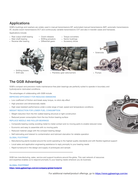## **Applications**

GGB's bushings and washers are widely used in manual transmissions MT, automated manual transmissions AMT, automatic transmissions AT, double-clutch transmissions DCT and continuously variable transmissions CVT and also in transfer cases and transaxes.

Applications include:

- Rear output shaft bearing
- Main shaft bearing
- Reverse idler bearing
- Clutch releases
- Shifting actuators
- Differential gears
- Torque converters
- Sector bushings
	- Accessory drives





• Shift rails • Planetary gear sets/carriers • Pumps





## **The GGB Advantage**

GGB's compact and precision-made maintenance-free plain bearings are perfectly suited to operate in boundary and hydrodynamic lubricated conditions.

The advantages of collaborating with GGB include:

IMPROVED EFFICIENCY FOR REDUCED EMISSIONS

- Low coefficient of friction and break away torque, no stick-slip effect
- High precision and dimensionally stable
- High wear-resistant performance under a wide range of load, speed and temperature conditions

WEIGHT REDUCTION FOR LOWER FUEL CONSUMPTION

- Weight reduction from the thin walled bearing structure or light construction
- Reduced power consumption from the low friction bearing surface

#### REPLACE NEEDLE AND ROLLER BEARINGS

- Composite bearing overlay avoiding metal-to-metal contact and no moving parts to enable reduced noise
- Economic and easy to assemble with no moving parts
- Reduced material usage with the compact bearing design
- Self-lubricating and tolerant to contamination and lubricant starvation for reliable operation

#### GLOBAL FOOTPRINT

- Manufacturing plants located around the world operating to the highest quality standards and with flexible logistical support
- Local sales and application engineering assistance to reply promptly to your bearing needs
- Rapid turnaround in the design and supply of prototypes and sample

GGB has manufacturing, sales, service and support locations around the globe. This vast network of resources and expertise enables us to respond promptly to your bearing needs wherever you do business.

#### **GLOBAL FOOTPRINT**

**<https://www.ggbearings.com/en/company/global-footprint>**